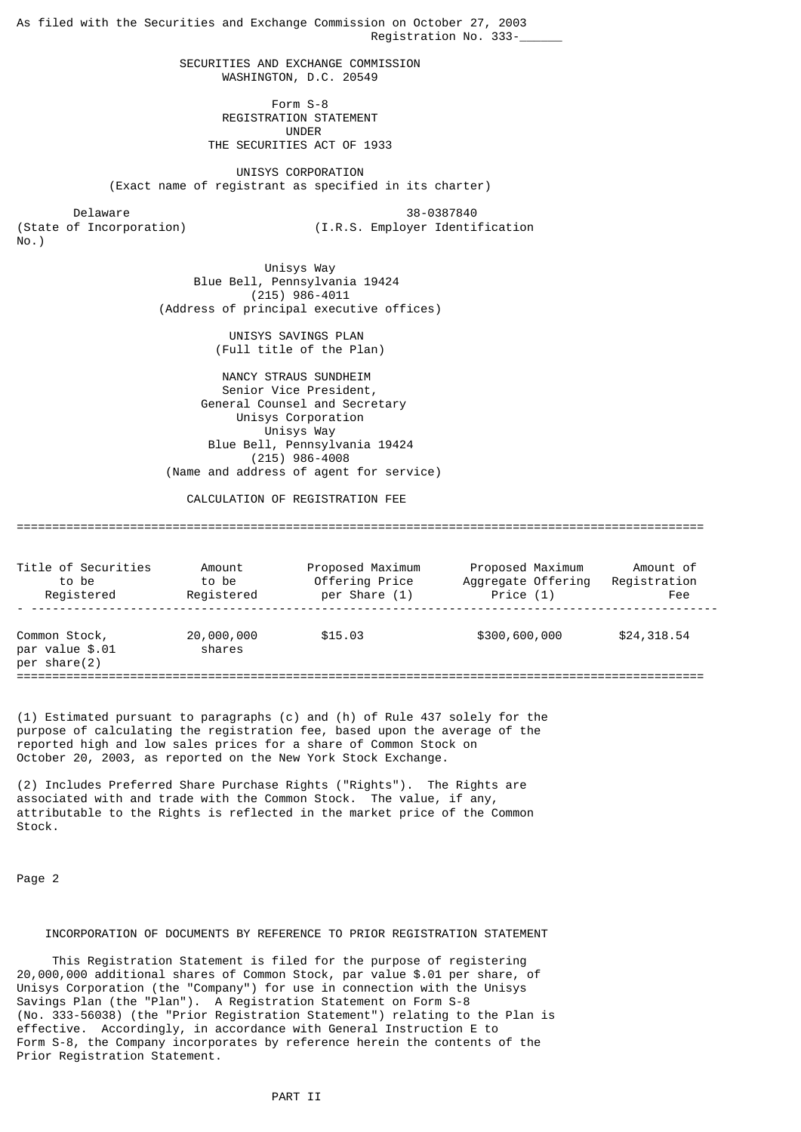As filed with the Securities and Exchange Commission on October 27, 2003 Registration No. 333-\_\_\_\_\_\_ SECURITIES AND EXCHANGE COMMISSION WASHINGTON, D.C. 20549 Form S-8 REGISTRATION STATEMENT UNDER THE SECURITIES ACT OF 1933 UNISYS CORPORATION (Exact name of registrant as specified in its charter) Delaware 38-0387840<br>(State of Incorporation) (I.R.S. Employer Identi (I.R.S. Employer Identification No.) Unisys Way Blue Bell, Pennsylvania 19424 (215) 986-4011 (Address of principal executive offices) UNISYS SAVINGS PLAN (Full title of the Plan) NANCY STRAUS SUNDHEIM Senior Vice President, General Counsel and Secretary Unisys Corporation Unisys Way Blue Bell, Pennsylvania 19424 (215) 986-4008 (Name and address of agent for service) CALCULATION OF REGISTRATION FFF ================================================================================================= Title of Securities amount Proposed Maximum Proposed Maximum Amount of to be to be to be to be and the Sequenate Offering Registration to be to be Offering Price Aggregate Offering Registration<br>Registered Registered per Share (1) Price (1) Price (1)

| Registered                                       | Registered           | per Share (1) | Price $(1)$   | Fee         |
|--------------------------------------------------|----------------------|---------------|---------------|-------------|
| Common Stock,<br>par value \$.01<br>per share(2) | 20,000,000<br>shares | \$15.03       | \$300,600,000 | \$24,318.54 |

(1) Estimated pursuant to paragraphs (c) and (h) of Rule 437 solely for the purpose of calculating the registration fee, based upon the average of the reported high and low sales prices for a share of Common Stock on October 20, 2003, as reported on the New York Stock Exchange.

(2) Includes Preferred Share Purchase Rights ("Rights"). The Rights are associated with and trade with the Common Stock. The value, if any, attributable to the Rights is reflected in the market price of the Common Stock.

Page 2

### INCORPORATION OF DOCUMENTS BY REFERENCE TO PRIOR REGISTRATION STATEMENT

 This Registration Statement is filed for the purpose of registering 20,000,000 additional shares of Common Stock, par value \$.01 per share, of Unisys Corporation (the "Company") for use in connection with the Unisys Savings Plan (the "Plan"). A Registration Statement on Form S-8 (No. 333-56038) (the "Prior Registration Statement") relating to the Plan is effective. Accordingly, in accordance with General Instruction E to Form S-8, the Company incorporates by reference herein the contents of the Prior Registration Statement.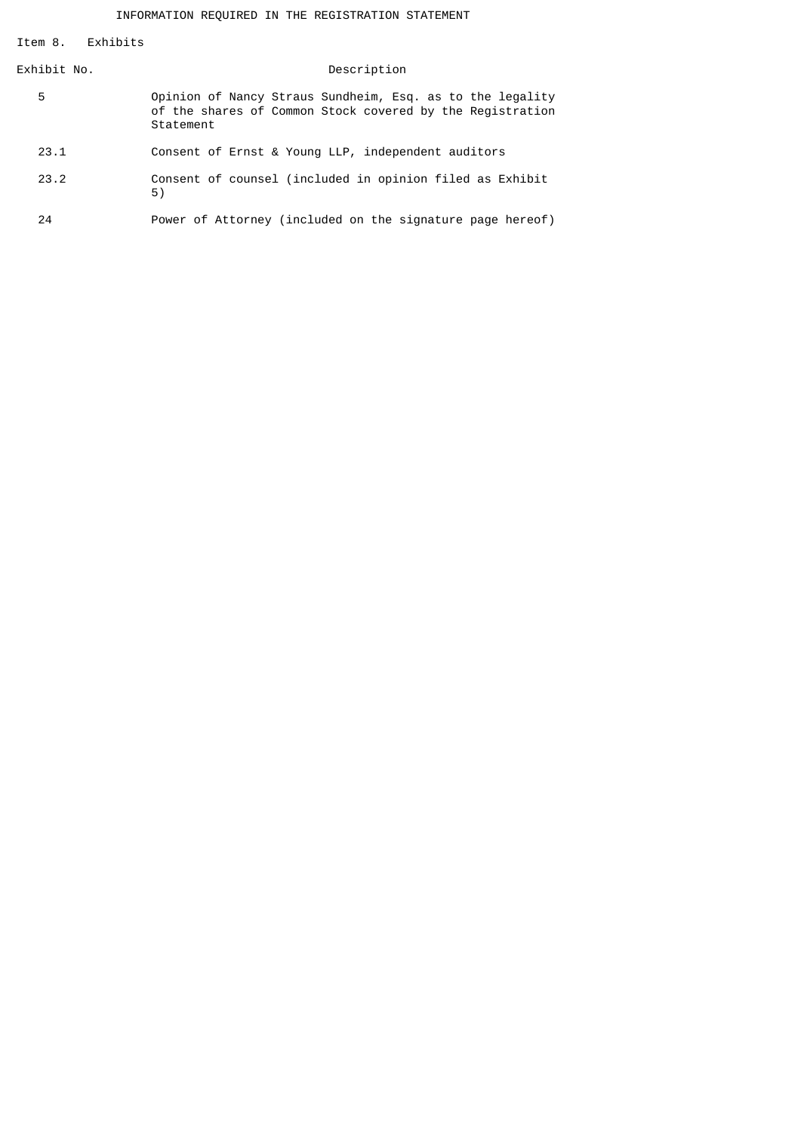Item 8. Exhibits

| Exhibit No. | Description                                                                                                                         |
|-------------|-------------------------------------------------------------------------------------------------------------------------------------|
| 5           | Opinion of Nancy Straus Sundheim, Esq. as to the legality<br>of the shares of Common Stock covered by the Registration<br>Statement |
| 23.1        | Consent of Ernst & Young LLP, independent auditors                                                                                  |
| 23.2        | Consent of counsel (included in opinion filed as Exhibit<br>5)                                                                      |
| 24          | Power of Attorney (included on the signature page hereof)                                                                           |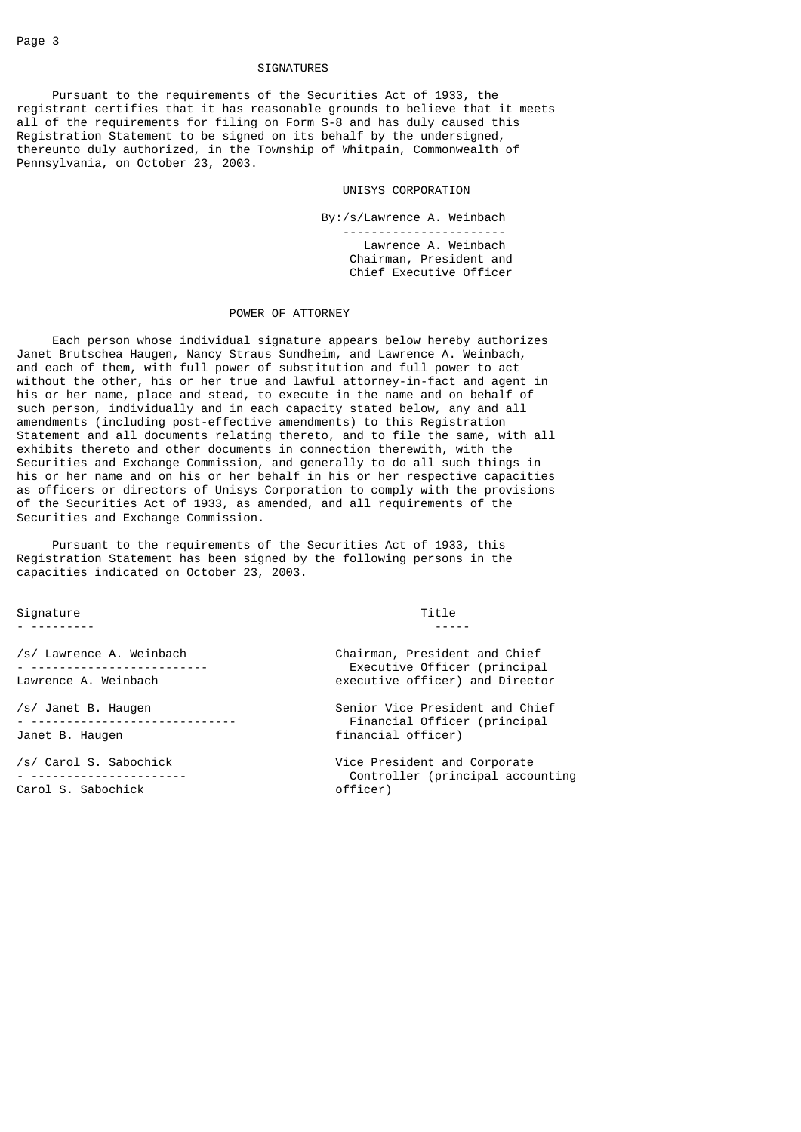### SIGNATURES

 Pursuant to the requirements of the Securities Act of 1933, the registrant certifies that it has reasonable grounds to believe that it meets all of the requirements for filing on Form S-8 and has duly caused this Registration Statement to be signed on its behalf by the undersigned, thereunto duly authorized, in the Township of Whitpain, Commonwealth of Pennsylvania, on October 23, 2003.

#### UNISYS CORPORATION

 By:/s/Lawrence A. Weinbach ----------------------- Lawrence A. Weinbach Chairman, President and Chief Executive Officer

#### POWER OF ATTORNEY

 Each person whose individual signature appears below hereby authorizes Janet Brutschea Haugen, Nancy Straus Sundheim, and Lawrence A. Weinbach, and each of them, with full power of substitution and full power to act without the other, his or her true and lawful attorney-in-fact and agent in his or her name, place and stead, to execute in the name and on behalf of such person, individually and in each capacity stated below, any and all amendments (including post-effective amendments) to this Registration Statement and all documents relating thereto, and to file the same, with all exhibits thereto and other documents in connection therewith, with the Securities and Exchange Commission, and generally to do all such things in his or her name and on his or her behalf in his or her respective capacities as officers or directors of Unisys Corporation to comply with the provisions of the Securities Act of 1933, as amended, and all requirements of the Securities and Exchange Commission.

 Pursuant to the requirements of the Securities Act of 1933, this Registration Statement has been signed by the following persons in the capacities indicated on October 23, 2003.

Signature Title (Separature of the Separature of the Separature of the Title of the Title of the Title of the T<br>The Separature of the Separature of the Separature of the Title of the Title of the Title of the Title of the

- --------- -----

Carol S. Sabochick

/s/ Lawrence A. Weinbach Chairman, President and Chief - ------------------------- Executive Officer (principal executive officer) and Director

/s/ Janet B. Haugen Senior Vice President and Chief - ----------------------------- Financial Officer (principal financial officer)

/s/ Carol S. Sabochick Vice President and Corporate Controller (principal accounting<br>officer)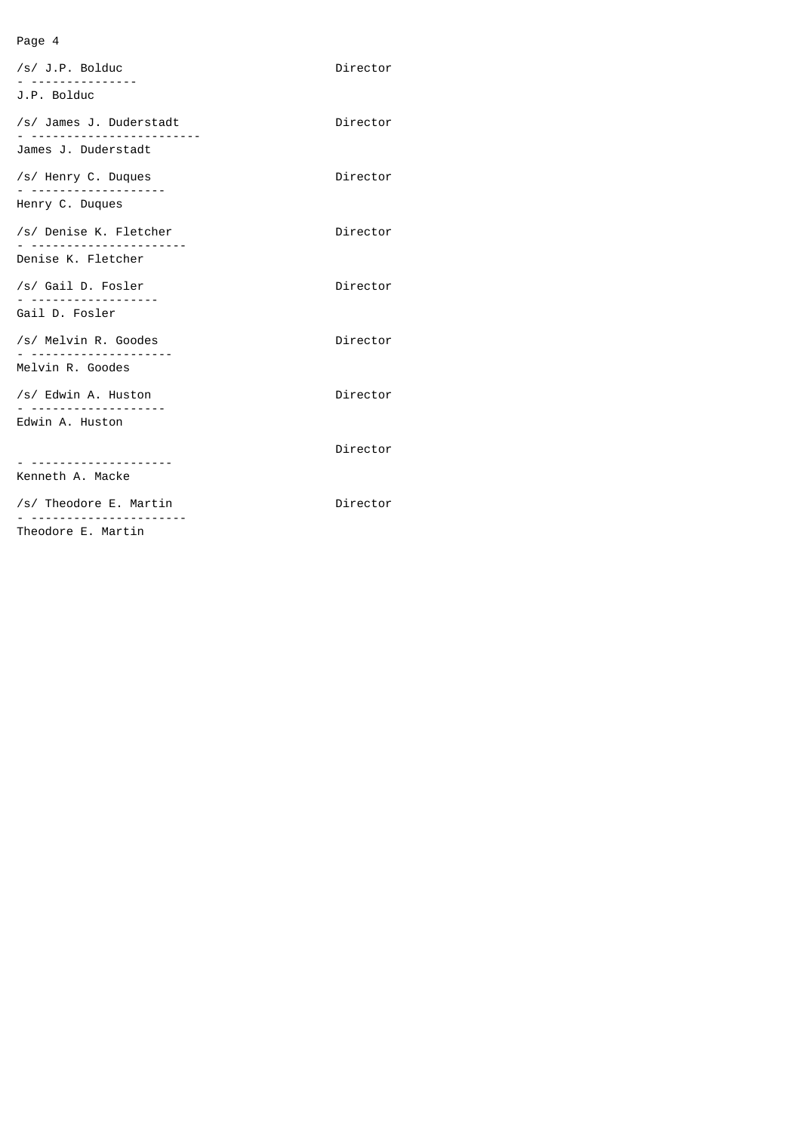# Page 4

| /s/ J.P. Bolduc<br>J.P. Bolduc | Director |
|--------------------------------|----------|
| /s/ James J. Duderstadt        | Director |
| James J. Duderstadt            |          |
| /s/ Henry C. Duques            | Director |
| Henry C. Duques                |          |
| /s/ Denise K. Fletcher         | Director |
| .<br>Denise K. Fletcher        |          |
| /s/ Gail D. Fosler             | Director |
| Gail D. Fosler                 |          |
| /s/ Melvin R. Goodes           | Director |
| Melvin R. Goodes               |          |
| /s/ Edwin A. Huston            | Director |
| Edwin A. Huston                |          |
|                                | Director |
| Kenneth A. Macke               |          |
| /s/ Theodore E. Martin         | Director |
|                                |          |

Theodore E. Martin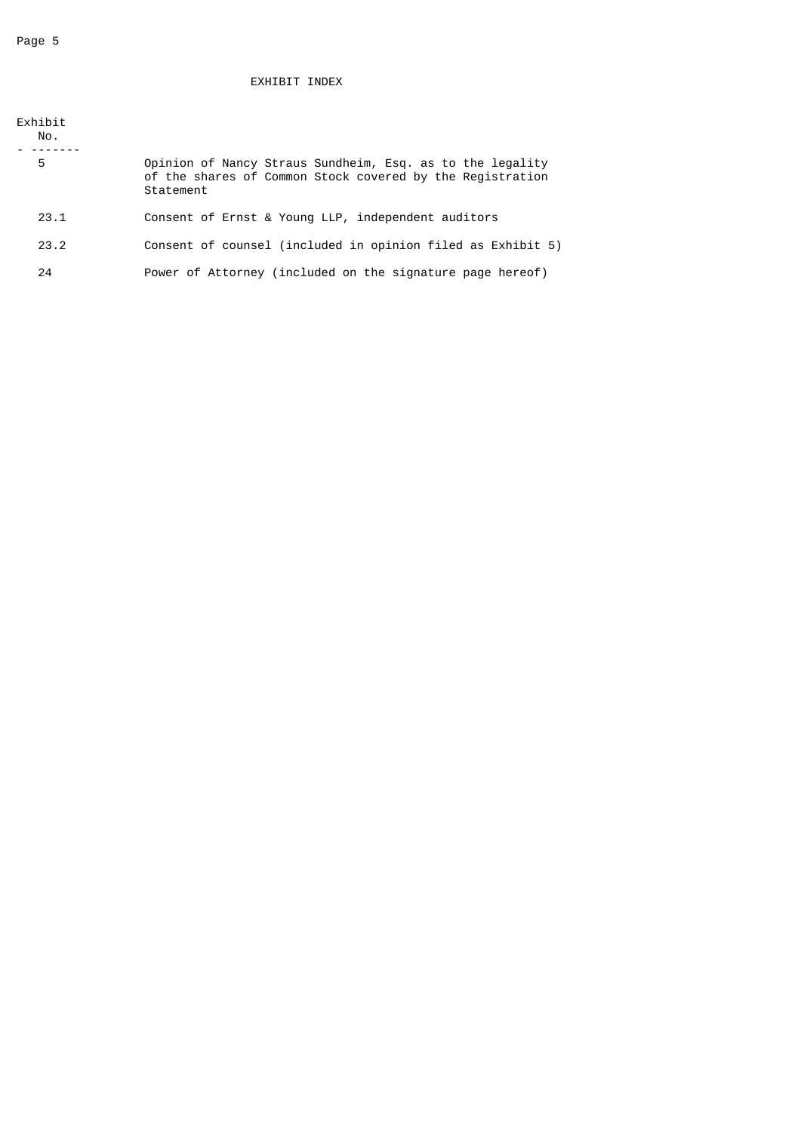# EXHIBIT INDEX

| Exhibit<br>No. |                                                                                                                                     |
|----------------|-------------------------------------------------------------------------------------------------------------------------------------|
| 5              | Opinion of Nancy Straus Sundheim, Esq. as to the legality<br>of the shares of Common Stock covered by the Registration<br>Statement |
| 23.1           | Consent of Ernst & Young LLP, independent auditors                                                                                  |
| 23.2           | Consent of counsel (included in opinion filed as Exhibit 5)                                                                         |
| 24             | Power of Attorney (included on the signature page hereof)                                                                           |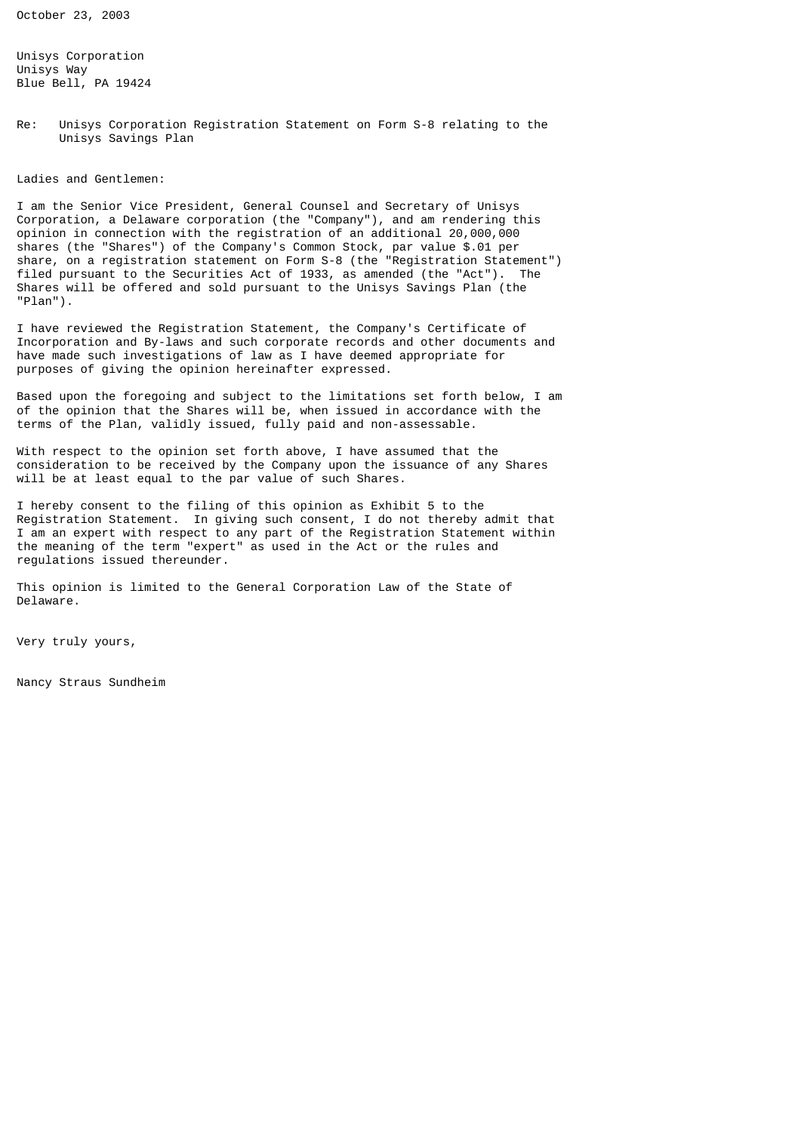October 23, 2003

Unisys Corporation Unisys Way Blue Bell, PA 19424

Re: Unisys Corporation Registration Statement on Form S-8 relating to the Unisys Savings Plan

Ladies and Gentlemen:

I am the Senior Vice President, General Counsel and Secretary of Unisys Corporation, a Delaware corporation (the "Company"), and am rendering this opinion in connection with the registration of an additional 20,000,000 shares (the "Shares") of the Company's Common Stock, par value \$.01 per share, on a registration statement on Form S-8 (the "Registration Statement") filed pursuant to the Securities Act of 1933, as amended (the "Act"). The Shares will be offered and sold pursuant to the Unisys Savings Plan (the "Plan").

I have reviewed the Registration Statement, the Company's Certificate of Incorporation and By-laws and such corporate records and other documents and have made such investigations of law as I have deemed appropriate for purposes of giving the opinion hereinafter expressed.

Based upon the foregoing and subject to the limitations set forth below, I am of the opinion that the Shares will be, when issued in accordance with the terms of the Plan, validly issued, fully paid and non-assessable.

With respect to the opinion set forth above, I have assumed that the consideration to be received by the Company upon the issuance of any Shares will be at least equal to the par value of such Shares.

I hereby consent to the filing of this opinion as Exhibit 5 to the Registration Statement. In giving such consent, I do not thereby admit that I am an expert with respect to any part of the Registration Statement within the meaning of the term "expert" as used in the Act or the rules and regulations issued thereunder.

This opinion is limited to the General Corporation Law of the State of Delaware.

Very truly yours,

Nancy Straus Sundheim